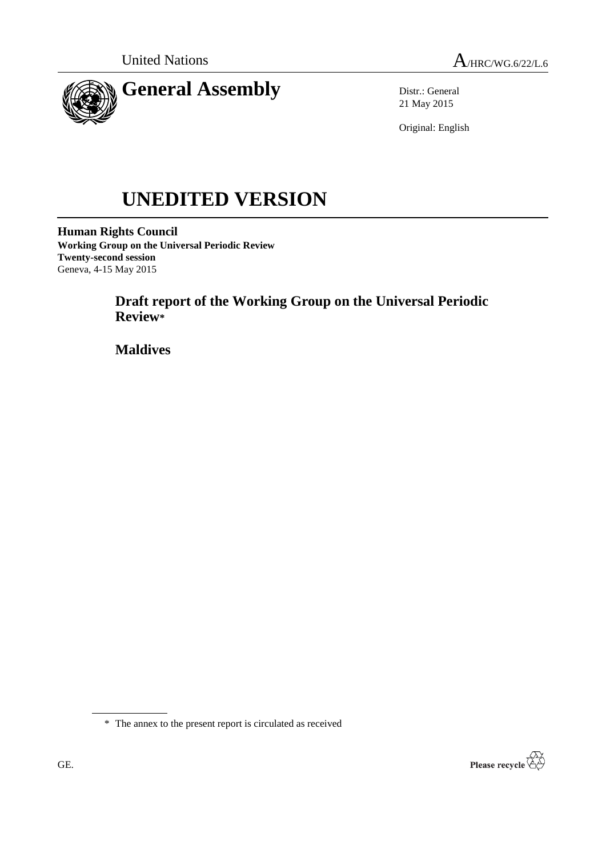

Distr.: General 21 May 2015

Original: English

# **UNEDITED VERSION**

**Human Rights Council Working Group on the Universal Periodic Review Twenty-second session** Geneva, 4-15 May 2015

> **Draft report of the Working Group on the Universal Periodic Review\***

**Maldives**

\* The annex to the present report is circulated as received

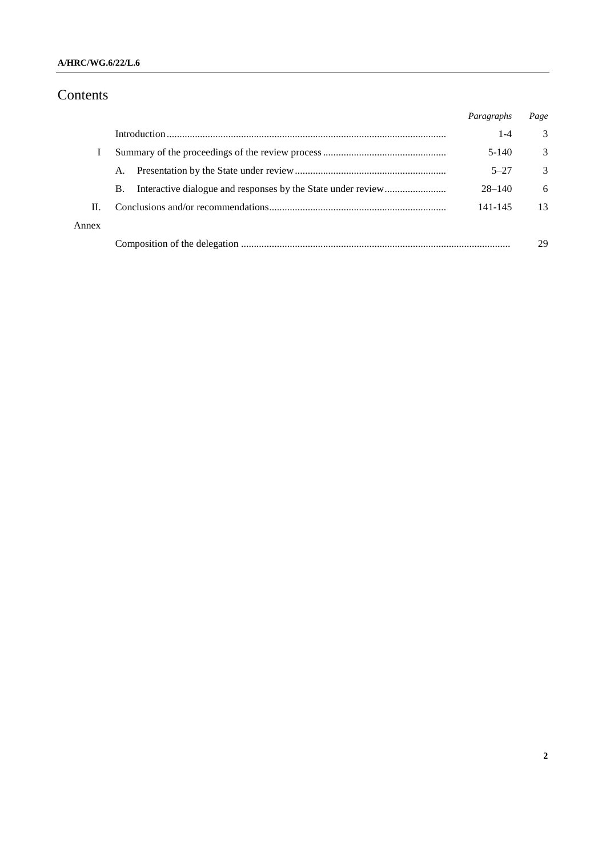#### **A/HRC/WG.6/22/L.6**

# Contents

|       |           | Paragraphs | Page          |
|-------|-----------|------------|---------------|
|       |           | $1 - 4$    | 3             |
|       |           | $5-140$    | 3             |
|       | A.        | $5 - 27$   | $\mathcal{R}$ |
|       | <b>B.</b> | $28 - 140$ | 6             |
| Н.    |           | 141-145    | 13            |
| Annex |           |            |               |
|       |           |            | 29            |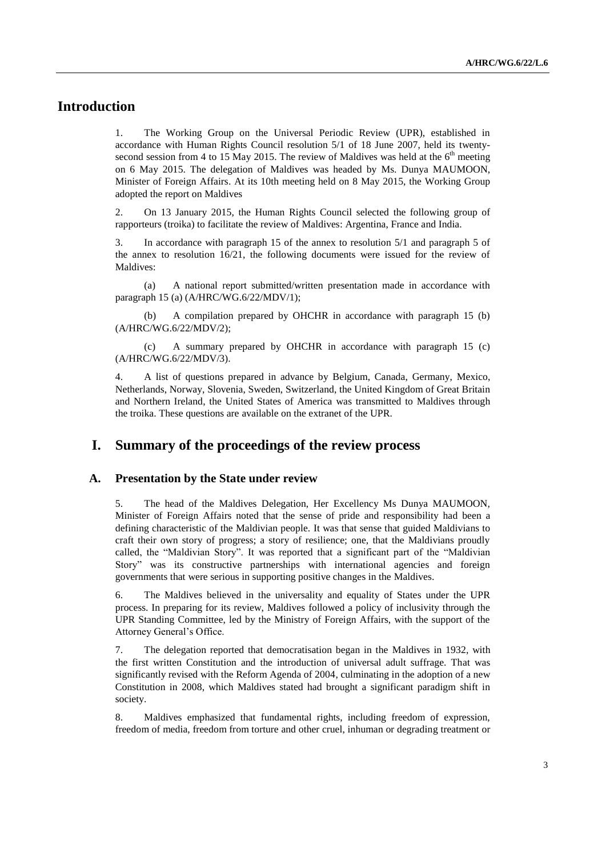# **Introduction**

1. The Working Group on the Universal Periodic Review (UPR), established in accordance with Human Rights Council resolution 5/1 of 18 June 2007, held its twentysecond session from 4 to 15 May 2015. The review of Maldives was held at the  $6<sup>th</sup>$  meeting on 6 May 2015. The delegation of Maldives was headed by Ms. Dunya MAUMOON, Minister of Foreign Affairs. At its 10th meeting held on 8 May 2015, the Working Group adopted the report on Maldives

2. On 13 January 2015, the Human Rights Council selected the following group of rapporteurs (troika) to facilitate the review of Maldives: Argentina, France and India.

3. In accordance with paragraph 15 of the annex to resolution 5/1 and paragraph 5 of the annex to resolution 16/21, the following documents were issued for the review of Maldives:

(a) A national report submitted/written presentation made in accordance with paragraph 15 (a) (A/HRC/WG.6/22/MDV/1);

(b) A compilation prepared by OHCHR in accordance with paragraph 15 (b) (A/HRC/WG.6/22/MDV/2);

(c) A summary prepared by OHCHR in accordance with paragraph 15 (c) (A/HRC/WG.6/22/MDV/3).

4. A list of questions prepared in advance by Belgium, Canada, Germany, Mexico, Netherlands, Norway, Slovenia, Sweden, Switzerland, the United Kingdom of Great Britain and Northern Ireland, the United States of America was transmitted to Maldives through the troika. These questions are available on the extranet of the UPR.

## **I. Summary of the proceedings of the review process**

#### **A. Presentation by the State under review**

5. The head of the Maldives Delegation, Her Excellency Ms Dunya MAUMOON, Minister of Foreign Affairs noted that the sense of pride and responsibility had been a defining characteristic of the Maldivian people. It was that sense that guided Maldivians to craft their own story of progress; a story of resilience; one, that the Maldivians proudly called, the "Maldivian Story". It was reported that a significant part of the "Maldivian Story" was its constructive partnerships with international agencies and foreign governments that were serious in supporting positive changes in the Maldives.

6. The Maldives believed in the universality and equality of States under the UPR process. In preparing for its review, Maldives followed a policy of inclusivity through the UPR Standing Committee, led by the Ministry of Foreign Affairs, with the support of the Attorney General's Office.

7. The delegation reported that democratisation began in the Maldives in 1932, with the first written Constitution and the introduction of universal adult suffrage. That was significantly revised with the Reform Agenda of 2004, culminating in the adoption of a new Constitution in 2008, which Maldives stated had brought a significant paradigm shift in society.

8. Maldives emphasized that fundamental rights, including freedom of expression, freedom of media, freedom from torture and other cruel, inhuman or degrading treatment or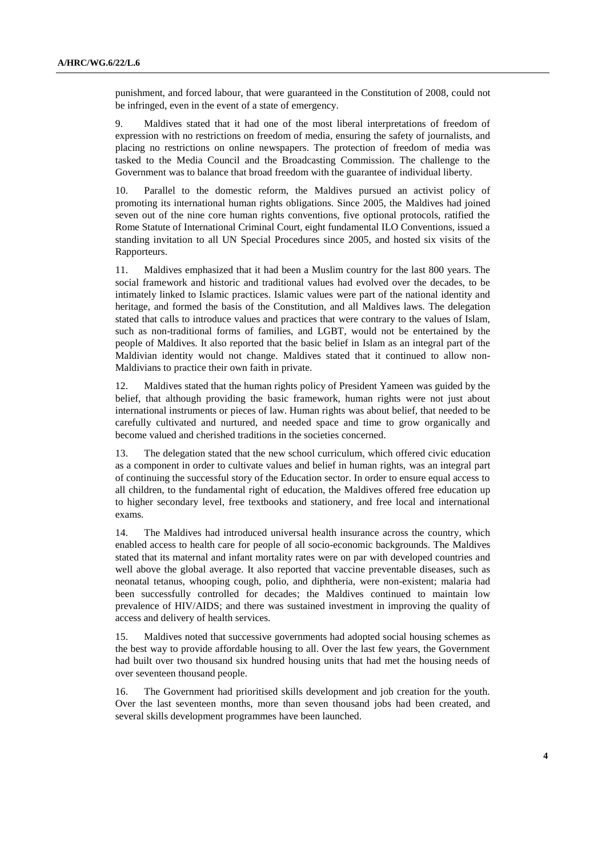punishment, and forced labour, that were guaranteed in the Constitution of 2008, could not be infringed, even in the event of a state of emergency.

9. Maldives stated that it had one of the most liberal interpretations of freedom of expression with no restrictions on freedom of media, ensuring the safety of journalists, and placing no restrictions on online newspapers. The protection of freedom of media was tasked to the Media Council and the Broadcasting Commission. The challenge to the Government was to balance that broad freedom with the guarantee of individual liberty.

10. Parallel to the domestic reform, the Maldives pursued an activist policy of promoting its international human rights obligations. Since 2005, the Maldives had joined seven out of the nine core human rights conventions, five optional protocols, ratified the Rome Statute of International Criminal Court, eight fundamental ILO Conventions, issued a standing invitation to all UN Special Procedures since 2005, and hosted six visits of the Rapporteurs.

11. Maldives emphasized that it had been a Muslim country for the last 800 years. The social framework and historic and traditional values had evolved over the decades, to be intimately linked to Islamic practices. Islamic values were part of the national identity and heritage, and formed the basis of the Constitution, and all Maldives laws. The delegation stated that calls to introduce values and practices that were contrary to the values of Islam, such as non-traditional forms of families, and LGBT, would not be entertained by the people of Maldives. It also reported that the basic belief in Islam as an integral part of the Maldivian identity would not change. Maldives stated that it continued to allow non-Maldivians to practice their own faith in private.

12. Maldives stated that the human rights policy of President Yameen was guided by the belief, that although providing the basic framework, human rights were not just about international instruments or pieces of law. Human rights was about belief, that needed to be carefully cultivated and nurtured, and needed space and time to grow organically and become valued and cherished traditions in the societies concerned.

13. The delegation stated that the new school curriculum, which offered civic education as a component in order to cultivate values and belief in human rights, was an integral part of continuing the successful story of the Education sector. In order to ensure equal access to all children, to the fundamental right of education, the Maldives offered free education up to higher secondary level, free textbooks and stationery, and free local and international exams.

14. The Maldives had introduced universal health insurance across the country, which enabled access to health care for people of all socio-economic backgrounds. The Maldives stated that its maternal and infant mortality rates were on par with developed countries and well above the global average. It also reported that vaccine preventable diseases, such as neonatal tetanus, whooping cough, polio, and diphtheria, were non-existent; malaria had been successfully controlled for decades; the Maldives continued to maintain low prevalence of HIV/AIDS; and there was sustained investment in improving the quality of access and delivery of health services.

15. Maldives noted that successive governments had adopted social housing schemes as the best way to provide affordable housing to all. Over the last few years, the Government had built over two thousand six hundred housing units that had met the housing needs of over seventeen thousand people.

16. The Government had prioritised skills development and job creation for the youth. Over the last seventeen months, more than seven thousand jobs had been created, and several skills development programmes have been launched.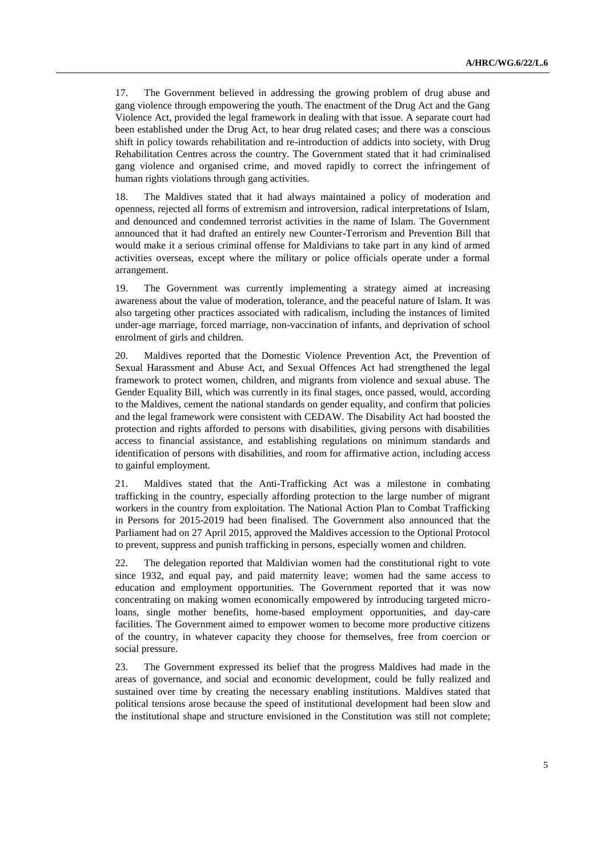17. The Government believed in addressing the growing problem of drug abuse and gang violence through empowering the youth. The enactment of the Drug Act and the Gang Violence Act, provided the legal framework in dealing with that issue. A separate court had been established under the Drug Act, to hear drug related cases; and there was a conscious shift in policy towards rehabilitation and re-introduction of addicts into society, with Drug Rehabilitation Centres across the country. The Government stated that it had criminalised gang violence and organised crime, and moved rapidly to correct the infringement of human rights violations through gang activities.

18. The Maldives stated that it had always maintained a policy of moderation and openness, rejected all forms of extremism and introversion, radical interpretations of Islam, and denounced and condemned terrorist activities in the name of Islam. The Government announced that it had drafted an entirely new Counter-Terrorism and Prevention Bill that would make it a serious criminal offense for Maldivians to take part in any kind of armed activities overseas, except where the military or police officials operate under a formal arrangement.

19. The Government was currently implementing a strategy aimed at increasing awareness about the value of moderation, tolerance, and the peaceful nature of Islam. It was also targeting other practices associated with radicalism, including the instances of limited under-age marriage, forced marriage, non-vaccination of infants, and deprivation of school enrolment of girls and children.

20. Maldives reported that the Domestic Violence Prevention Act, the Prevention of Sexual Harassment and Abuse Act, and Sexual Offences Act had strengthened the legal framework to protect women, children, and migrants from violence and sexual abuse. The Gender Equality Bill, which was currently in its final stages, once passed, would, according to the Maldives, cement the national standards on gender equality, and confirm that policies and the legal framework were consistent with CEDAW. The Disability Act had boosted the protection and rights afforded to persons with disabilities, giving persons with disabilities access to financial assistance, and establishing regulations on minimum standards and identification of persons with disabilities, and room for affirmative action, including access to gainful employment.

21. Maldives stated that the Anti-Trafficking Act was a milestone in combating trafficking in the country, especially affording protection to the large number of migrant workers in the country from exploitation. The National Action Plan to Combat Trafficking in Persons for 2015-2019 had been finalised. The Government also announced that the Parliament had on 27 April 2015, approved the Maldives accession to the Optional Protocol to prevent, suppress and punish trafficking in persons, especially women and children.

22. The delegation reported that Maldivian women had the constitutional right to vote since 1932, and equal pay, and paid maternity leave; women had the same access to education and employment opportunities. The Government reported that it was now concentrating on making women economically empowered by introducing targeted microloans, single mother benefits, home-based employment opportunities, and day-care facilities. The Government aimed to empower women to become more productive citizens of the country, in whatever capacity they choose for themselves, free from coercion or social pressure.

23. The Government expressed its belief that the progress Maldives had made in the areas of governance, and social and economic development, could be fully realized and sustained over time by creating the necessary enabling institutions. Maldives stated that political tensions arose because the speed of institutional development had been slow and the institutional shape and structure envisioned in the Constitution was still not complete;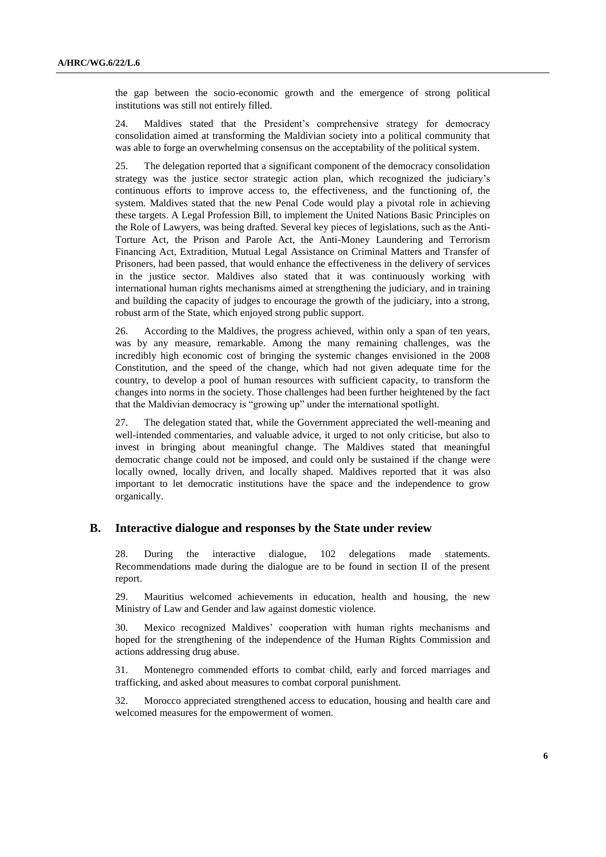the gap between the socio-economic growth and the emergence of strong political institutions was still not entirely filled.

24. Maldives stated that the President's comprehensive strategy for democracy consolidation aimed at transforming the Maldivian society into a political community that was able to forge an overwhelming consensus on the acceptability of the political system.

25. The delegation reported that a significant component of the democracy consolidation strategy was the justice sector strategic action plan, which recognized the judiciary's continuous efforts to improve access to, the effectiveness, and the functioning of, the system. Maldives stated that the new Penal Code would play a pivotal role in achieving these targets. A Legal Profession Bill, to implement the United Nations Basic Principles on the Role of Lawyers, was being drafted. Several key pieces of legislations, such as the Anti-Torture Act, the Prison and Parole Act, the Anti-Money Laundering and Terrorism Financing Act, Extradition, Mutual Legal Assistance on Criminal Matters and Transfer of Prisoners, had been passed, that would enhance the effectiveness in the delivery of services in the justice sector. Maldives also stated that it was continuously working with international human rights mechanisms aimed at strengthening the judiciary, and in training and building the capacity of judges to encourage the growth of the judiciary, into a strong, robust arm of the State, which enjoyed strong public support.

26. According to the Maldives, the progress achieved, within only a span of ten years, was by any measure, remarkable. Among the many remaining challenges, was the incredibly high economic cost of bringing the systemic changes envisioned in the 2008 Constitution, and the speed of the change, which had not given adequate time for the country, to develop a pool of human resources with sufficient capacity, to transform the changes into norms in the society. Those challenges had been further heightened by the fact that the Maldivian democracy is "growing up" under the international spotlight.

27. The delegation stated that, while the Government appreciated the well-meaning and well-intended commentaries, and valuable advice, it urged to not only criticise, but also to invest in bringing about meaningful change. The Maldives stated that meaningful democratic change could not be imposed, and could only be sustained if the change were locally owned, locally driven, and locally shaped. Maldives reported that it was also important to let democratic institutions have the space and the independence to grow organically.

#### **B. Interactive dialogue and responses by the State under review**

28. During the interactive dialogue, 102 delegations made statements. Recommendations made during the dialogue are to be found in section II of the present report.

29. Mauritius welcomed achievements in education, health and housing, the new Ministry of Law and Gender and law against domestic violence.

30. Mexico recognized Maldives' cooperation with human rights mechanisms and hoped for the strengthening of the independence of the Human Rights Commission and actions addressing drug abuse.

31. Montenegro commended efforts to combat child, early and forced marriages and trafficking, and asked about measures to combat corporal punishment.

32. Morocco appreciated strengthened access to education, housing and health care and welcomed measures for the empowerment of women.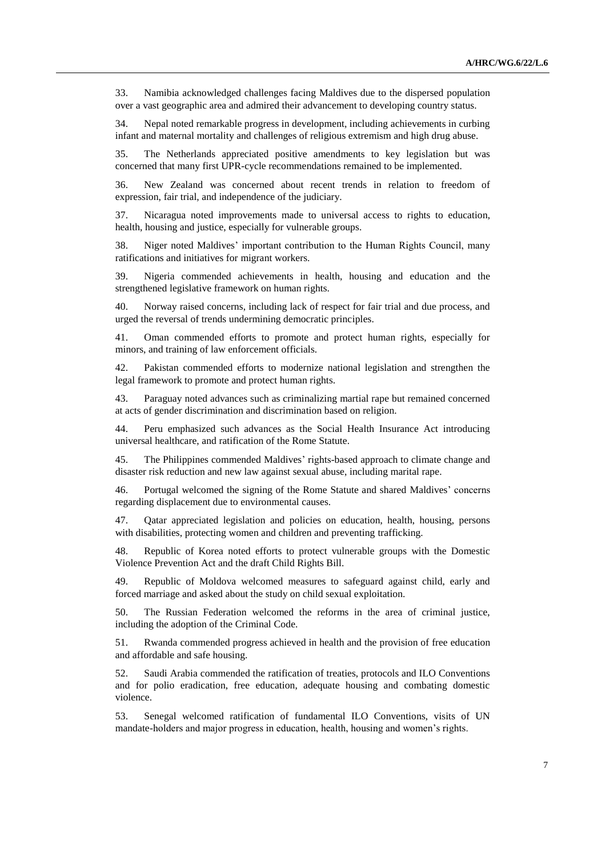33. Namibia acknowledged challenges facing Maldives due to the dispersed population over a vast geographic area and admired their advancement to developing country status.

34. Nepal noted remarkable progress in development, including achievements in curbing infant and maternal mortality and challenges of religious extremism and high drug abuse.

35. The Netherlands appreciated positive amendments to key legislation but was concerned that many first UPR-cycle recommendations remained to be implemented.

36. New Zealand was concerned about recent trends in relation to freedom of expression, fair trial, and independence of the judiciary.

37. Nicaragua noted improvements made to universal access to rights to education, health, housing and justice, especially for vulnerable groups.

38. Niger noted Maldives' important contribution to the Human Rights Council, many ratifications and initiatives for migrant workers.

39. Nigeria commended achievements in health, housing and education and the strengthened legislative framework on human rights.

40. Norway raised concerns, including lack of respect for fair trial and due process, and urged the reversal of trends undermining democratic principles.

41. Oman commended efforts to promote and protect human rights, especially for minors, and training of law enforcement officials.

42. Pakistan commended efforts to modernize national legislation and strengthen the legal framework to promote and protect human rights.

43. Paraguay noted advances such as criminalizing martial rape but remained concerned at acts of gender discrimination and discrimination based on religion.

44. Peru emphasized such advances as the Social Health Insurance Act introducing universal healthcare, and ratification of the Rome Statute.

45. The Philippines commended Maldives' rights-based approach to climate change and disaster risk reduction and new law against sexual abuse, including marital rape.

46. Portugal welcomed the signing of the Rome Statute and shared Maldives' concerns regarding displacement due to environmental causes.

47. Qatar appreciated legislation and policies on education, health, housing, persons with disabilities, protecting women and children and preventing trafficking.

48. Republic of Korea noted efforts to protect vulnerable groups with the Domestic Violence Prevention Act and the draft Child Rights Bill.

49. Republic of Moldova welcomed measures to safeguard against child, early and forced marriage and asked about the study on child sexual exploitation.

50. The Russian Federation welcomed the reforms in the area of criminal justice, including the adoption of the Criminal Code.

51. Rwanda commended progress achieved in health and the provision of free education and affordable and safe housing.

52. Saudi Arabia commended the ratification of treaties, protocols and ILO Conventions and for polio eradication, free education, adequate housing and combating domestic violence.

53. Senegal welcomed ratification of fundamental ILO Conventions, visits of UN mandate-holders and major progress in education, health, housing and women's rights.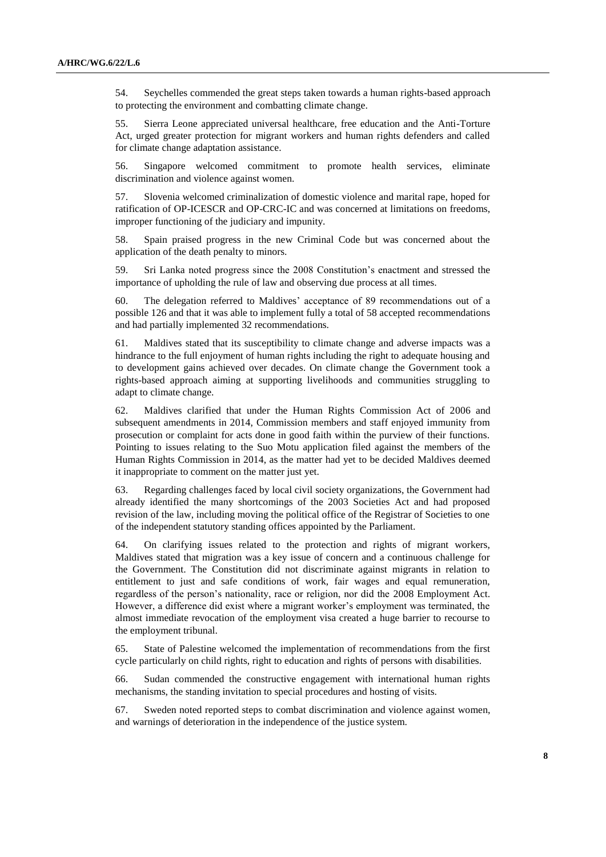54. Seychelles commended the great steps taken towards a human rights-based approach to protecting the environment and combatting climate change.

55. Sierra Leone appreciated universal healthcare, free education and the Anti-Torture Act, urged greater protection for migrant workers and human rights defenders and called for climate change adaptation assistance.

56. Singapore welcomed commitment to promote health services, eliminate discrimination and violence against women.

57. Slovenia welcomed criminalization of domestic violence and marital rape, hoped for ratification of OP-ICESCR and OP-CRC-IC and was concerned at limitations on freedoms, improper functioning of the judiciary and impunity.

58. Spain praised progress in the new Criminal Code but was concerned about the application of the death penalty to minors.

59. Sri Lanka noted progress since the 2008 Constitution's enactment and stressed the importance of upholding the rule of law and observing due process at all times.

60. The delegation referred to Maldives' acceptance of 89 recommendations out of a possible 126 and that it was able to implement fully a total of 58 accepted recommendations and had partially implemented 32 recommendations.

61. Maldives stated that its susceptibility to climate change and adverse impacts was a hindrance to the full enjoyment of human rights including the right to adequate housing and to development gains achieved over decades. On climate change the Government took a rights-based approach aiming at supporting livelihoods and communities struggling to adapt to climate change.

62. Maldives clarified that under the Human Rights Commission Act of 2006 and subsequent amendments in 2014, Commission members and staff enjoyed immunity from prosecution or complaint for acts done in good faith within the purview of their functions. Pointing to issues relating to the Suo Motu application filed against the members of the Human Rights Commission in 2014, as the matter had yet to be decided Maldives deemed it inappropriate to comment on the matter just yet.

63. Regarding challenges faced by local civil society organizations, the Government had already identified the many shortcomings of the 2003 Societies Act and had proposed revision of the law, including moving the political office of the Registrar of Societies to one of the independent statutory standing offices appointed by the Parliament.

64. On clarifying issues related to the protection and rights of migrant workers, Maldives stated that migration was a key issue of concern and a continuous challenge for the Government. The Constitution did not discriminate against migrants in relation to entitlement to just and safe conditions of work, fair wages and equal remuneration, regardless of the person's nationality, race or religion, nor did the 2008 Employment Act. However, a difference did exist where a migrant worker's employment was terminated, the almost immediate revocation of the employment visa created a huge barrier to recourse to the employment tribunal.

65. State of Palestine welcomed the implementation of recommendations from the first cycle particularly on child rights, right to education and rights of persons with disabilities.

66. Sudan commended the constructive engagement with international human rights mechanisms, the standing invitation to special procedures and hosting of visits.

67. Sweden noted reported steps to combat discrimination and violence against women, and warnings of deterioration in the independence of the justice system.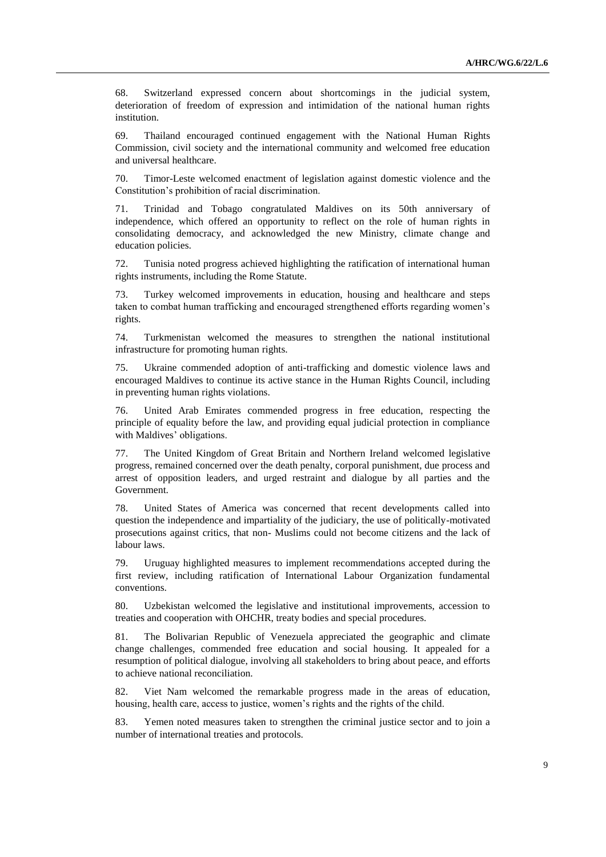68. Switzerland expressed concern about shortcomings in the judicial system, deterioration of freedom of expression and intimidation of the national human rights institution.

69. Thailand encouraged continued engagement with the National Human Rights Commission, civil society and the international community and welcomed free education and universal healthcare.

70. Timor-Leste welcomed enactment of legislation against domestic violence and the Constitution's prohibition of racial discrimination.

71. Trinidad and Tobago congratulated Maldives on its 50th anniversary of independence, which offered an opportunity to reflect on the role of human rights in consolidating democracy, and acknowledged the new Ministry, climate change and education policies.

72. Tunisia noted progress achieved highlighting the ratification of international human rights instruments, including the Rome Statute.

73. Turkey welcomed improvements in education, housing and healthcare and steps taken to combat human trafficking and encouraged strengthened efforts regarding women's rights.

74. Turkmenistan welcomed the measures to strengthen the national institutional infrastructure for promoting human rights.

75. Ukraine commended adoption of anti-trafficking and domestic violence laws and encouraged Maldives to continue its active stance in the Human Rights Council, including in preventing human rights violations.

76. United Arab Emirates commended progress in free education, respecting the principle of equality before the law, and providing equal judicial protection in compliance with Maldives' obligations.

77. The United Kingdom of Great Britain and Northern Ireland welcomed legislative progress, remained concerned over the death penalty, corporal punishment, due process and arrest of opposition leaders, and urged restraint and dialogue by all parties and the Government.

78. United States of America was concerned that recent developments called into question the independence and impartiality of the judiciary, the use of politically-motivated prosecutions against critics, that non- Muslims could not become citizens and the lack of labour laws.

79. Uruguay highlighted measures to implement recommendations accepted during the first review, including ratification of International Labour Organization fundamental conventions.

80. Uzbekistan welcomed the legislative and institutional improvements, accession to treaties and cooperation with OHCHR, treaty bodies and special procedures.

81. The Bolivarian Republic of Venezuela appreciated the geographic and climate change challenges, commended free education and social housing. It appealed for a resumption of political dialogue, involving all stakeholders to bring about peace, and efforts to achieve national reconciliation.

82. Viet Nam welcomed the remarkable progress made in the areas of education, housing, health care, access to justice, women's rights and the rights of the child.

83. Yemen noted measures taken to strengthen the criminal justice sector and to join a number of international treaties and protocols.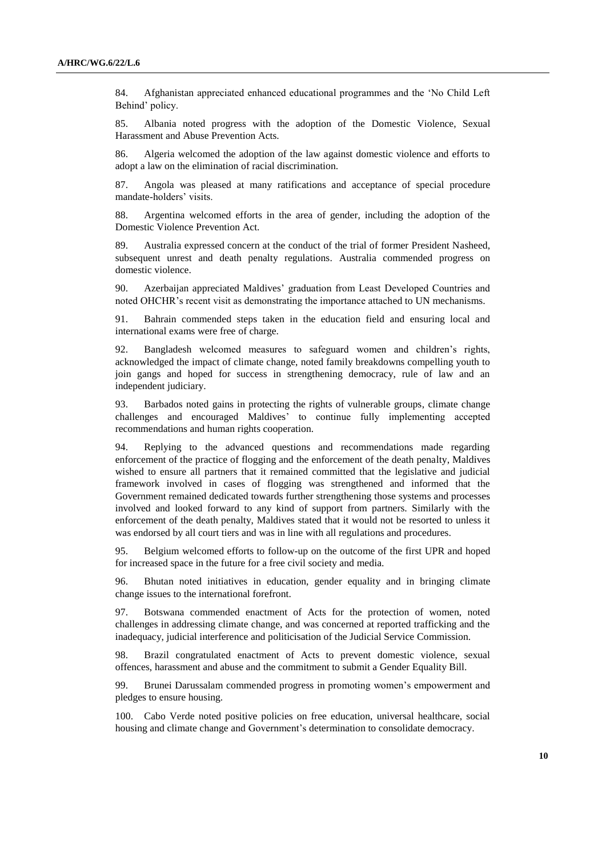84. Afghanistan appreciated enhanced educational programmes and the 'No Child Left Behind' policy.

85. Albania noted progress with the adoption of the Domestic Violence, Sexual Harassment and Abuse Prevention Acts.

86. Algeria welcomed the adoption of the law against domestic violence and efforts to adopt a law on the elimination of racial discrimination.

87. Angola was pleased at many ratifications and acceptance of special procedure mandate-holders' visits.

88. Argentina welcomed efforts in the area of gender, including the adoption of the Domestic Violence Prevention Act.

89. Australia expressed concern at the conduct of the trial of former President Nasheed, subsequent unrest and death penalty regulations. Australia commended progress on domestic violence.

90. Azerbaijan appreciated Maldives' graduation from Least Developed Countries and noted OHCHR's recent visit as demonstrating the importance attached to UN mechanisms.

91. Bahrain commended steps taken in the education field and ensuring local and international exams were free of charge.

92. Bangladesh welcomed measures to safeguard women and children's rights, acknowledged the impact of climate change, noted family breakdowns compelling youth to join gangs and hoped for success in strengthening democracy, rule of law and an independent judiciary.

93. Barbados noted gains in protecting the rights of vulnerable groups, climate change challenges and encouraged Maldives' to continue fully implementing accepted recommendations and human rights cooperation.

94. Replying to the advanced questions and recommendations made regarding enforcement of the practice of flogging and the enforcement of the death penalty, Maldives wished to ensure all partners that it remained committed that the legislative and judicial framework involved in cases of flogging was strengthened and informed that the Government remained dedicated towards further strengthening those systems and processes involved and looked forward to any kind of support from partners. Similarly with the enforcement of the death penalty, Maldives stated that it would not be resorted to unless it was endorsed by all court tiers and was in line with all regulations and procedures.

95. Belgium welcomed efforts to follow-up on the outcome of the first UPR and hoped for increased space in the future for a free civil society and media.

96. Bhutan noted initiatives in education, gender equality and in bringing climate change issues to the international forefront.

97. Botswana commended enactment of Acts for the protection of women, noted challenges in addressing climate change, and was concerned at reported trafficking and the inadequacy, judicial interference and politicisation of the Judicial Service Commission.

98. Brazil congratulated enactment of Acts to prevent domestic violence, sexual offences, harassment and abuse and the commitment to submit a Gender Equality Bill.

99. Brunei Darussalam commended progress in promoting women's empowerment and pledges to ensure housing.

100. Cabo Verde noted positive policies on free education, universal healthcare, social housing and climate change and Government's determination to consolidate democracy.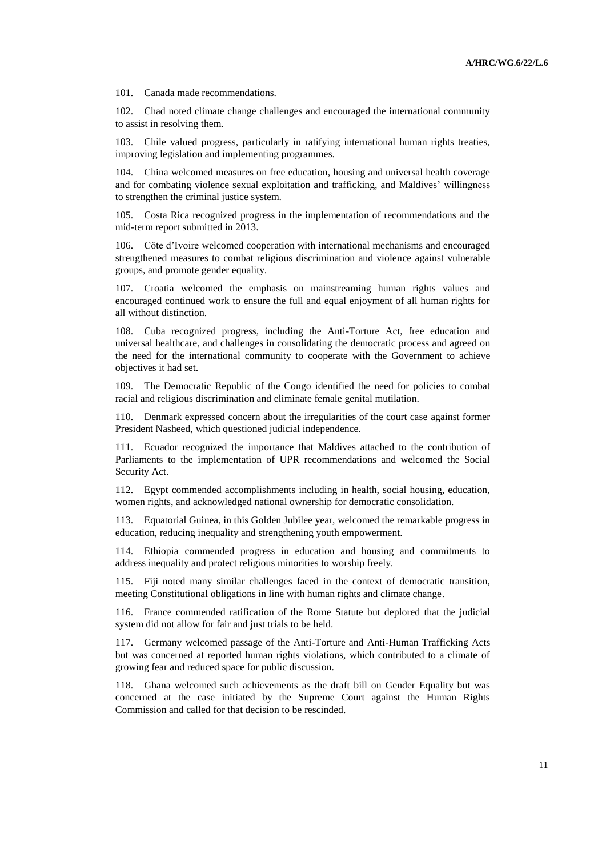101. Canada made recommendations.

102. Chad noted climate change challenges and encouraged the international community to assist in resolving them.

103. Chile valued progress, particularly in ratifying international human rights treaties, improving legislation and implementing programmes.

104. China welcomed measures on free education, housing and universal health coverage and for combating violence sexual exploitation and trafficking, and Maldives' willingness to strengthen the criminal justice system.

105. Costa Rica recognized progress in the implementation of recommendations and the mid-term report submitted in 2013.

106. Côte d'Ivoire welcomed cooperation with international mechanisms and encouraged strengthened measures to combat religious discrimination and violence against vulnerable groups, and promote gender equality.

107. Croatia welcomed the emphasis on mainstreaming human rights values and encouraged continued work to ensure the full and equal enjoyment of all human rights for all without distinction.

108. Cuba recognized progress, including the Anti-Torture Act, free education and universal healthcare, and challenges in consolidating the democratic process and agreed on the need for the international community to cooperate with the Government to achieve objectives it had set.

109. The Democratic Republic of the Congo identified the need for policies to combat racial and religious discrimination and eliminate female genital mutilation.

110. Denmark expressed concern about the irregularities of the court case against former President Nasheed, which questioned judicial independence.

111. Ecuador recognized the importance that Maldives attached to the contribution of Parliaments to the implementation of UPR recommendations and welcomed the Social Security Act.

112. Egypt commended accomplishments including in health, social housing, education, women rights, and acknowledged national ownership for democratic consolidation.

113. Equatorial Guinea, in this Golden Jubilee year, welcomed the remarkable progress in education, reducing inequality and strengthening youth empowerment.

114. Ethiopia commended progress in education and housing and commitments to address inequality and protect religious minorities to worship freely.

115. Fiji noted many similar challenges faced in the context of democratic transition, meeting Constitutional obligations in line with human rights and climate change.

116. France commended ratification of the Rome Statute but deplored that the judicial system did not allow for fair and just trials to be held.

117. Germany welcomed passage of the Anti-Torture and Anti-Human Trafficking Acts but was concerned at reported human rights violations, which contributed to a climate of growing fear and reduced space for public discussion.

118. Ghana welcomed such achievements as the draft bill on Gender Equality but was concerned at the case initiated by the Supreme Court against the Human Rights Commission and called for that decision to be rescinded.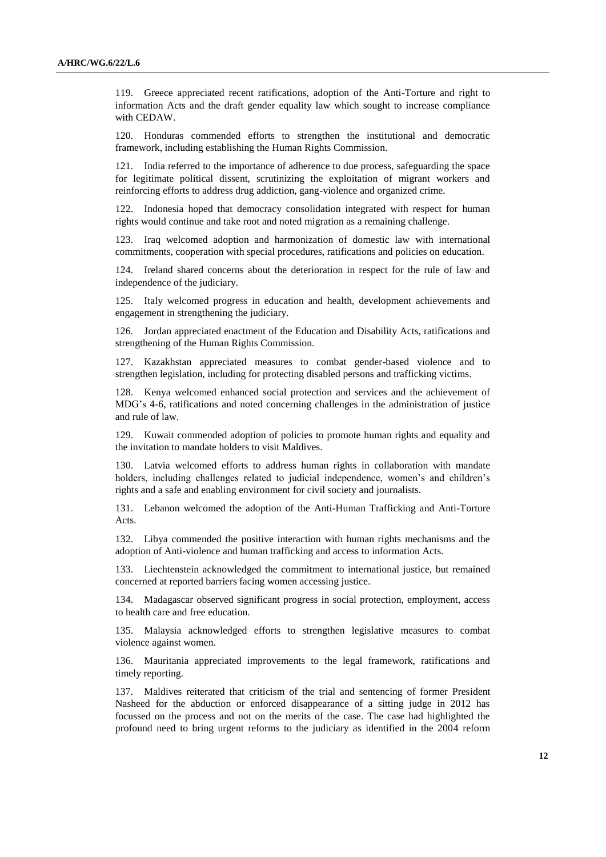119. Greece appreciated recent ratifications, adoption of the Anti-Torture and right to information Acts and the draft gender equality law which sought to increase compliance with CEDAW.

120. Honduras commended efforts to strengthen the institutional and democratic framework, including establishing the Human Rights Commission.

121. India referred to the importance of adherence to due process, safeguarding the space for legitimate political dissent, scrutinizing the exploitation of migrant workers and reinforcing efforts to address drug addiction, gang-violence and organized crime.

122. Indonesia hoped that democracy consolidation integrated with respect for human rights would continue and take root and noted migration as a remaining challenge.

123. Iraq welcomed adoption and harmonization of domestic law with international commitments, cooperation with special procedures, ratifications and policies on education.

124. Ireland shared concerns about the deterioration in respect for the rule of law and independence of the judiciary.

125. Italy welcomed progress in education and health, development achievements and engagement in strengthening the judiciary.

126. Jordan appreciated enactment of the Education and Disability Acts, ratifications and strengthening of the Human Rights Commission.

127. Kazakhstan appreciated measures to combat gender-based violence and to strengthen legislation, including for protecting disabled persons and trafficking victims.

128. Kenya welcomed enhanced social protection and services and the achievement of MDG's 4-6, ratifications and noted concerning challenges in the administration of justice and rule of law.

129. Kuwait commended adoption of policies to promote human rights and equality and the invitation to mandate holders to visit Maldives.

130. Latvia welcomed efforts to address human rights in collaboration with mandate holders, including challenges related to judicial independence, women's and children's rights and a safe and enabling environment for civil society and journalists.

131. Lebanon welcomed the adoption of the Anti-Human Trafficking and Anti-Torture Acts.

132. Libya commended the positive interaction with human rights mechanisms and the adoption of Anti-violence and human trafficking and access to information Acts.

133. Liechtenstein acknowledged the commitment to international justice, but remained concerned at reported barriers facing women accessing justice.

134. Madagascar observed significant progress in social protection, employment, access to health care and free education.

135. Malaysia acknowledged efforts to strengthen legislative measures to combat violence against women.

136. Mauritania appreciated improvements to the legal framework, ratifications and timely reporting.

137. Maldives reiterated that criticism of the trial and sentencing of former President Nasheed for the abduction or enforced disappearance of a sitting judge in 2012 has focussed on the process and not on the merits of the case. The case had highlighted the profound need to bring urgent reforms to the judiciary as identified in the 2004 reform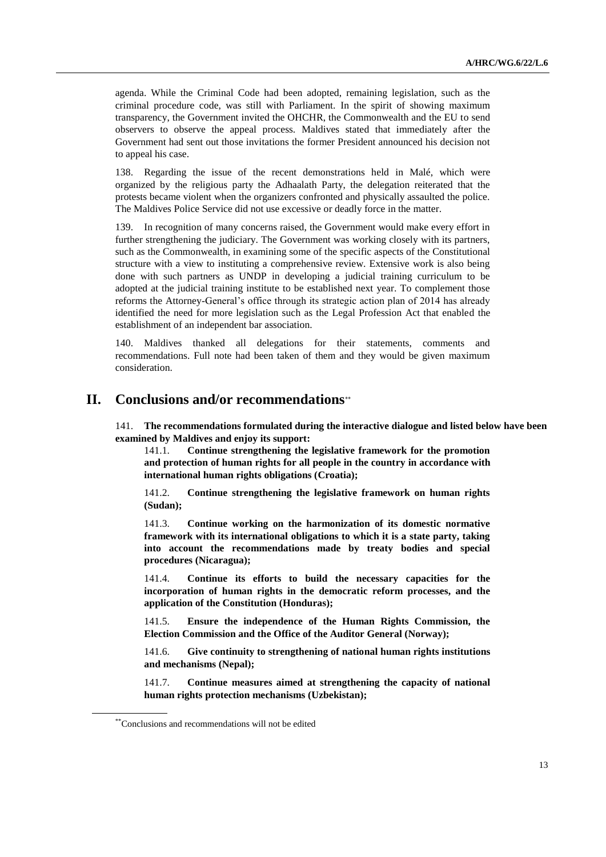agenda. While the Criminal Code had been adopted, remaining legislation, such as the criminal procedure code, was still with Parliament. In the spirit of showing maximum transparency, the Government invited the OHCHR, the Commonwealth and the EU to send observers to observe the appeal process. Maldives stated that immediately after the Government had sent out those invitations the former President announced his decision not to appeal his case.

138. Regarding the issue of the recent demonstrations held in Malé, which were organized by the religious party the Adhaalath Party, the delegation reiterated that the protests became violent when the organizers confronted and physically assaulted the police. The Maldives Police Service did not use excessive or deadly force in the matter.

139. In recognition of many concerns raised, the Government would make every effort in further strengthening the judiciary. The Government was working closely with its partners, such as the Commonwealth, in examining some of the specific aspects of the Constitutional structure with a view to instituting a comprehensive review. Extensive work is also being done with such partners as UNDP in developing a judicial training curriculum to be adopted at the judicial training institute to be established next year. To complement those reforms the Attorney-General's office through its strategic action plan of 2014 has already identified the need for more legislation such as the Legal Profession Act that enabled the establishment of an independent bar association.

140. Maldives thanked all delegations for their statements, comments and recommendations. Full note had been taken of them and they would be given maximum consideration.

## **II. Conclusions and/or recommendations**

141. **The recommendations formulated during the interactive dialogue and listed below have been examined by Maldives and enjoy its support:**

141.1. **Continue strengthening the legislative framework for the promotion and protection of human rights for all people in the country in accordance with international human rights obligations (Croatia);**

141.2. **Continue strengthening the legislative framework on human rights (Sudan);**

141.3. **Continue working on the harmonization of its domestic normative framework with its international obligations to which it is a state party, taking into account the recommendations made by treaty bodies and special procedures (Nicaragua);**

141.4. **Continue its efforts to build the necessary capacities for the incorporation of human rights in the democratic reform processes, and the application of the Constitution (Honduras);**

141.5. **Ensure the independence of the Human Rights Commission, the Election Commission and the Office of the Auditor General (Norway);**

141.6. **Give continuity to strengthening of national human rights institutions and mechanisms (Nepal);**

141.7. **Continue measures aimed at strengthening the capacity of national human rights protection mechanisms (Uzbekistan);**

<sup>\*\*</sup>Conclusions and recommendations will not be edited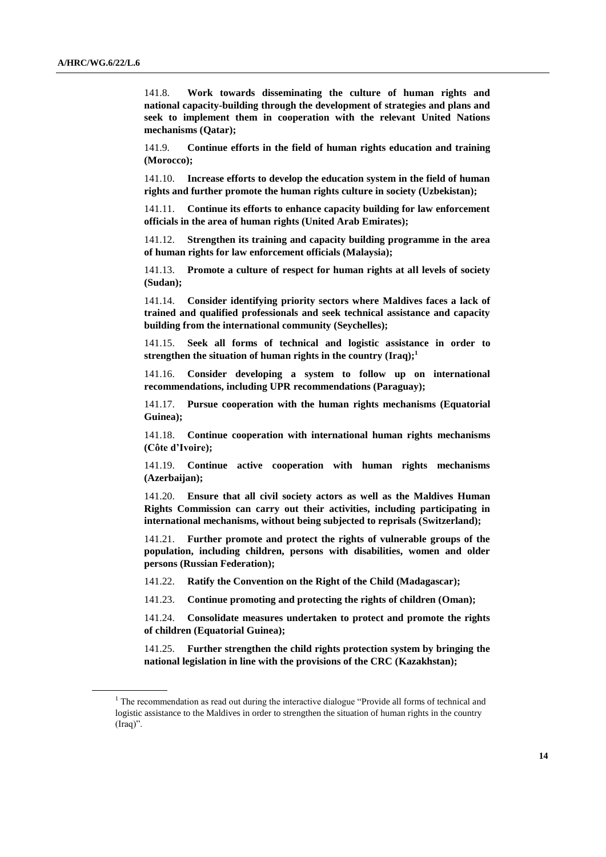141.8. **Work towards disseminating the culture of human rights and national capacity-building through the development of strategies and plans and seek to implement them in cooperation with the relevant United Nations mechanisms (Qatar);** 

141.9. **Continue efforts in the field of human rights education and training (Morocco);**

141.10. **Increase efforts to develop the education system in the field of human rights and further promote the human rights culture in society (Uzbekistan);**

141.11. **Continue its efforts to enhance capacity building for law enforcement officials in the area of human rights (United Arab Emirates);**

141.12. **Strengthen its training and capacity building programme in the area of human rights for law enforcement officials (Malaysia);**

141.13. **Promote a culture of respect for human rights at all levels of society (Sudan);**

141.14. **Consider identifying priority sectors where Maldives faces a lack of trained and qualified professionals and seek technical assistance and capacity building from the international community (Seychelles);**

141.15. **Seek all forms of technical and logistic assistance in order to strengthen the situation of human rights in the country (Iraq);<sup>1</sup>**

141.16. **Consider developing a system to follow up on international recommendations, including UPR recommendations (Paraguay);**

141.17. **Pursue cooperation with the human rights mechanisms (Equatorial Guinea);**

141.18. **Continue cooperation with international human rights mechanisms (Côte d'Ivoire);**

141.19. **Continue active cooperation with human rights mechanisms (Azerbaijan);**

141.20. **Ensure that all civil society actors as well as the Maldives Human Rights Commission can carry out their activities, including participating in international mechanisms, without being subjected to reprisals (Switzerland);**

141.21. **Further promote and protect the rights of vulnerable groups of the population, including children, persons with disabilities, women and older persons (Russian Federation);**

141.22. **Ratify the Convention on the Right of the Child (Madagascar);** 

141.23. **Continue promoting and protecting the rights of children (Oman);**

141.24. **Consolidate measures undertaken to protect and promote the rights of children (Equatorial Guinea);**

141.25. **Further strengthen the child rights protection system by bringing the national legislation in line with the provisions of the CRC (Kazakhstan);**

 $1$  The recommendation as read out during the interactive dialogue "Provide all forms of technical and logistic assistance to the Maldives in order to strengthen the situation of human rights in the country (Iraq)".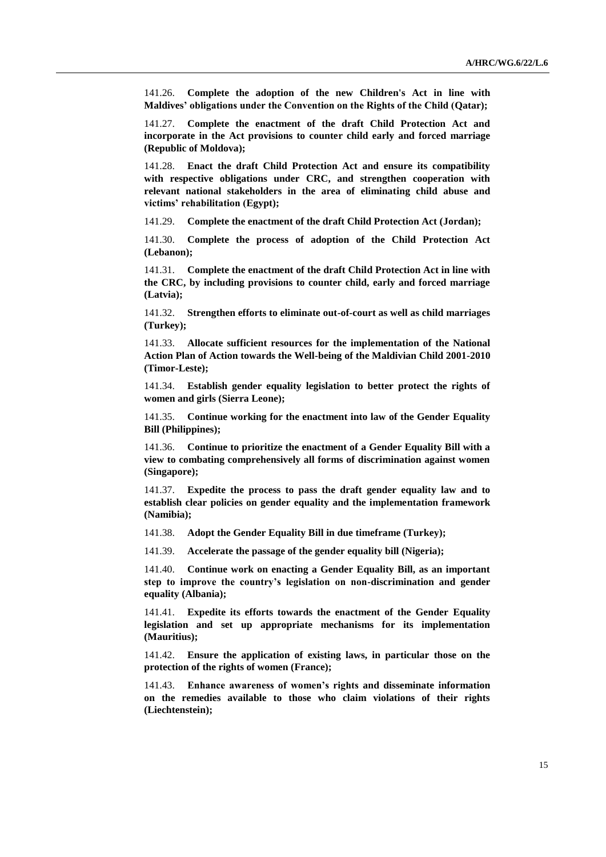141.26. **Complete the adoption of the new Children's Act in line with Maldives' obligations under the Convention on the Rights of the Child (Qatar);**

141.27. **Complete the enactment of the draft Child Protection Act and incorporate in the Act provisions to counter child early and forced marriage (Republic of Moldova);**

141.28. **Enact the draft Child Protection Act and ensure its compatibility with respective obligations under CRC, and strengthen cooperation with relevant national stakeholders in the area of eliminating child abuse and victims' rehabilitation (Egypt);**

141.29. **Complete the enactment of the draft Child Protection Act (Jordan);**

141.30. **Complete the process of adoption of the Child Protection Act (Lebanon);**

141.31. **Complete the enactment of the draft Child Protection Act in line with the CRC, by including provisions to counter child, early and forced marriage (Latvia);**

141.32. **Strengthen efforts to eliminate out-of-court as well as child marriages (Turkey);**

141.33. **Allocate sufficient resources for the implementation of the National Action Plan of Action towards the Well-being of the Maldivian Child 2001-2010 (Timor-Leste);**

141.34. **Establish gender equality legislation to better protect the rights of women and girls (Sierra Leone);**

141.35. **Continue working for the enactment into law of the Gender Equality Bill (Philippines);**

141.36. **Continue to prioritize the enactment of a Gender Equality Bill with a view to combating comprehensively all forms of discrimination against women (Singapore);**

141.37. **Expedite the process to pass the draft gender equality law and to establish clear policies on gender equality and the implementation framework (Namibia);**

141.38. **Adopt the Gender Equality Bill in due timeframe (Turkey);**

141.39. **Accelerate the passage of the gender equality bill (Nigeria);**

141.40. **Continue work on enacting a Gender Equality Bill, as an important step to improve the country's legislation on non-discrimination and gender equality (Albania);**

141.41. **Expedite its efforts towards the enactment of the Gender Equality legislation and set up appropriate mechanisms for its implementation (Mauritius);**

141.42. **Ensure the application of existing laws, in particular those on the protection of the rights of women (France);**

141.43. **Enhance awareness of women's rights and disseminate information on the remedies available to those who claim violations of their rights (Liechtenstein);**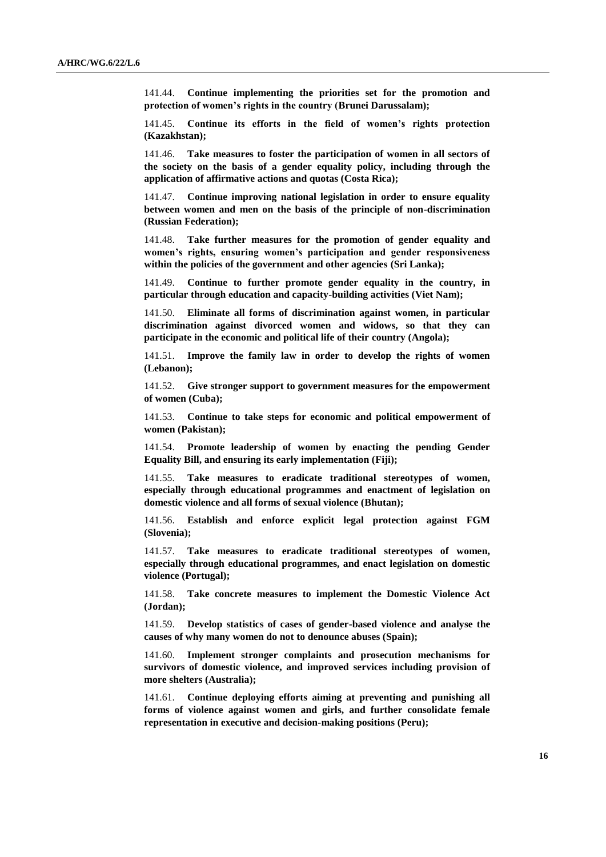141.44. **Continue implementing the priorities set for the promotion and protection of women's rights in the country (Brunei Darussalam);**

141.45. **Continue its efforts in the field of women's rights protection (Kazakhstan);**

141.46. **Take measures to foster the participation of women in all sectors of the society on the basis of a gender equality policy, including through the application of affirmative actions and quotas (Costa Rica);**

141.47. **Continue improving national legislation in order to ensure equality between women and men on the basis of the principle of non-discrimination (Russian Federation);**

141.48. **Take further measures for the promotion of gender equality and women's rights, ensuring women's participation and gender responsiveness within the policies of the government and other agencies (Sri Lanka);**

141.49. **Continue to further promote gender equality in the country, in particular through education and capacity-building activities (Viet Nam);**

141.50. **Eliminate all forms of discrimination against women, in particular discrimination against divorced women and widows, so that they can participate in the economic and political life of their country (Angola);**

141.51. **Improve the family law in order to develop the rights of women (Lebanon);**

141.52. **Give stronger support to government measures for the empowerment of women (Cuba);**

141.53. **Continue to take steps for economic and political empowerment of women (Pakistan);**

141.54. **Promote leadership of women by enacting the pending Gender Equality Bill, and ensuring its early implementation (Fiji);**

141.55. **Take measures to eradicate traditional stereotypes of women, especially through educational programmes and enactment of legislation on domestic violence and all forms of sexual violence (Bhutan);**

141.56. **Establish and enforce explicit legal protection against FGM (Slovenia);**

141.57. **Take measures to eradicate traditional stereotypes of women, especially through educational programmes, and enact legislation on domestic violence (Portugal);**

141.58. **Take concrete measures to implement the Domestic Violence Act (Jordan);**

141.59. **Develop statistics of cases of gender-based violence and analyse the causes of why many women do not to denounce abuses (Spain);**

141.60. **Implement stronger complaints and prosecution mechanisms for survivors of domestic violence, and improved services including provision of more shelters (Australia);**

141.61. **Continue deploying efforts aiming at preventing and punishing all forms of violence against women and girls, and further consolidate female representation in executive and decision-making positions (Peru);**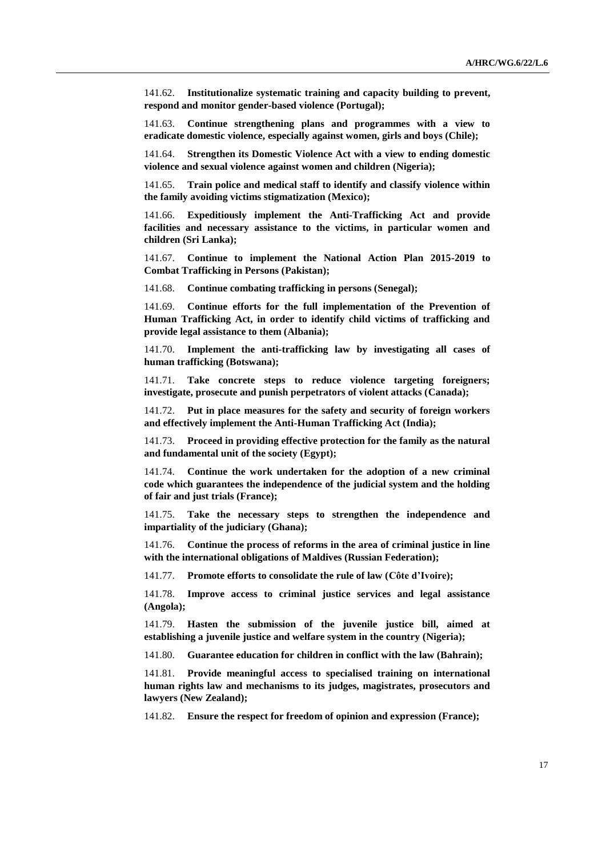141.62. **Institutionalize systematic training and capacity building to prevent, respond and monitor gender-based violence (Portugal);**

141.63. **Continue strengthening plans and programmes with a view to eradicate domestic violence, especially against women, girls and boys (Chile);**

141.64. **Strengthen its Domestic Violence Act with a view to ending domestic violence and sexual violence against women and children (Nigeria);**

141.65. **Train police and medical staff to identify and classify violence within the family avoiding victims stigmatization (Mexico);**

141.66. **Expeditiously implement the Anti-Trafficking Act and provide facilities and necessary assistance to the victims, in particular women and children (Sri Lanka);**

141.67. **Continue to implement the National Action Plan 2015-2019 to Combat Trafficking in Persons (Pakistan);**

141.68. **Continue combating trafficking in persons (Senegal);**

141.69. **Continue efforts for the full implementation of the Prevention of Human Trafficking Act, in order to identify child victims of trafficking and provide legal assistance to them (Albania);**

141.70. **Implement the anti-trafficking law by investigating all cases of human trafficking (Botswana);**

141.71. **Take concrete steps to reduce violence targeting foreigners; investigate, prosecute and punish perpetrators of violent attacks (Canada);**

141.72. **Put in place measures for the safety and security of foreign workers and effectively implement the Anti-Human Trafficking Act (India);**

141.73. **Proceed in providing effective protection for the family as the natural and fundamental unit of the society (Egypt);**

141.74. **Continue the work undertaken for the adoption of a new criminal code which guarantees the independence of the judicial system and the holding of fair and just trials (France);**

141.75. **Take the necessary steps to strengthen the independence and impartiality of the judiciary (Ghana);**

141.76. **Continue the process of reforms in the area of criminal justice in line with the international obligations of Maldives (Russian Federation);**

141.77. **Promote efforts to consolidate the rule of law (Côte d'Ivoire);**

141.78. **Improve access to criminal justice services and legal assistance (Angola);**

141.79. **Hasten the submission of the juvenile justice bill, aimed at establishing a juvenile justice and welfare system in the country (Nigeria);**

141.80. **Guarantee education for children in conflict with the law (Bahrain);**

141.81. **Provide meaningful access to specialised training on international human rights law and mechanisms to its judges, magistrates, prosecutors and lawyers (New Zealand);**

141.82. **Ensure the respect for freedom of opinion and expression (France);**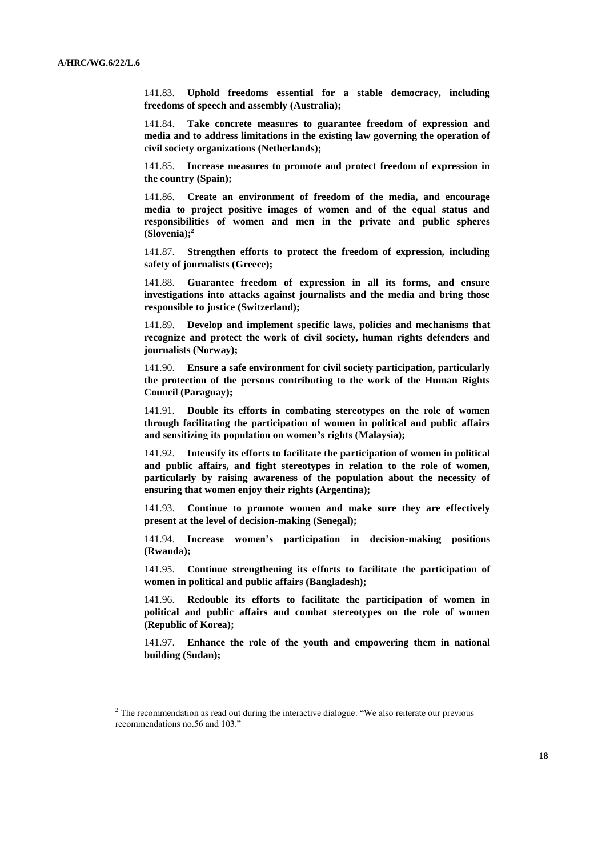141.83. **Uphold freedoms essential for a stable democracy, including freedoms of speech and assembly (Australia);**

141.84. **Take concrete measures to guarantee freedom of expression and media and to address limitations in the existing law governing the operation of civil society organizations (Netherlands);**

141.85. **Increase measures to promote and protect freedom of expression in the country (Spain);**

141.86. **Create an environment of freedom of the media, and encourage media to project positive images of women and of the equal status and responsibilities of women and men in the private and public spheres (Slovenia);<sup>2</sup>**

141.87. **Strengthen efforts to protect the freedom of expression, including safety of journalists (Greece);**

141.88. **Guarantee freedom of expression in all its forms, and ensure investigations into attacks against journalists and the media and bring those responsible to justice (Switzerland);**

141.89. **Develop and implement specific laws, policies and mechanisms that recognize and protect the work of civil society, human rights defenders and journalists (Norway);**

141.90. **Ensure a safe environment for civil society participation, particularly the protection of the persons contributing to the work of the Human Rights Council (Paraguay);**

141.91. **Double its efforts in combating stereotypes on the role of women through facilitating the participation of women in political and public affairs and sensitizing its population on women's rights (Malaysia);**

141.92. **Intensify its efforts to facilitate the participation of women in political and public affairs, and fight stereotypes in relation to the role of women, particularly by raising awareness of the population about the necessity of ensuring that women enjoy their rights (Argentina);**

141.93. **Continue to promote women and make sure they are effectively present at the level of decision-making (Senegal);**

141.94. **Increase women's participation in decision-making positions (Rwanda);**

141.95. **Continue strengthening its efforts to facilitate the participation of women in political and public affairs (Bangladesh);**

141.96. **Redouble its efforts to facilitate the participation of women in political and public affairs and combat stereotypes on the role of women (Republic of Korea);**

141.97. **Enhance the role of the youth and empowering them in national building (Sudan);**

<sup>&</sup>lt;sup>2</sup> The recommendation as read out during the interactive dialogue: "We also reiterate our previous recommendations no.56 and 103."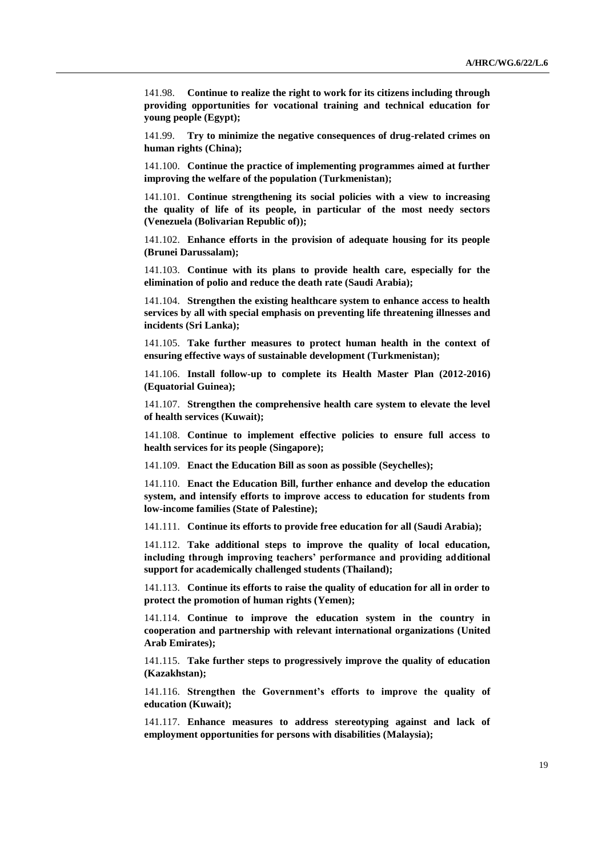141.98. **Continue to realize the right to work for its citizens including through providing opportunities for vocational training and technical education for young people (Egypt);**

141.99. **Try to minimize the negative consequences of drug-related crimes on human rights (China);**

141.100. **Continue the practice of implementing programmes aimed at further improving the welfare of the population (Turkmenistan);**

141.101. **Continue strengthening its social policies with a view to increasing the quality of life of its people, in particular of the most needy sectors (Venezuela (Bolivarian Republic of));**

141.102. **Enhance efforts in the provision of adequate housing for its people (Brunei Darussalam);**

141.103. **Continue with its plans to provide health care, especially for the elimination of polio and reduce the death rate (Saudi Arabia);**

141.104. **Strengthen the existing healthcare system to enhance access to health services by all with special emphasis on preventing life threatening illnesses and incidents (Sri Lanka);**

141.105. **Take further measures to protect human health in the context of ensuring effective ways of sustainable development (Turkmenistan);**

141.106. **Install follow-up to complete its Health Master Plan (2012-2016) (Equatorial Guinea);**

141.107. **Strengthen the comprehensive health care system to elevate the level of health services (Kuwait);**

141.108. **Continue to implement effective policies to ensure full access to health services for its people (Singapore);**

141.109. **Enact the Education Bill as soon as possible (Seychelles);**

141.110. **Enact the Education Bill, further enhance and develop the education system, and intensify efforts to improve access to education for students from low-income families (State of Palestine);**

141.111. **Continue its efforts to provide free education for all (Saudi Arabia);**

141.112. **Take additional steps to improve the quality of local education, including through improving teachers' performance and providing additional support for academically challenged students (Thailand);**

141.113. **Continue its efforts to raise the quality of education for all in order to protect the promotion of human rights (Yemen);**

141.114. **Continue to improve the education system in the country in cooperation and partnership with relevant international organizations (United Arab Emirates);**

141.115. **Take further steps to progressively improve the quality of education (Kazakhstan);**

141.116. **Strengthen the Government's efforts to improve the quality of education (Kuwait);**

141.117. **Enhance measures to address stereotyping against and lack of employment opportunities for persons with disabilities (Malaysia);**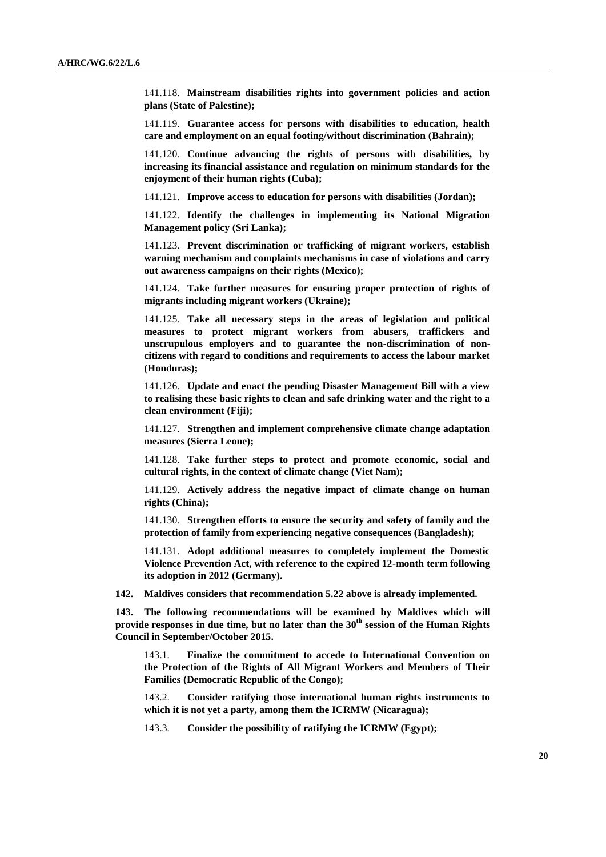141.118. **Mainstream disabilities rights into government policies and action plans (State of Palestine);**

141.119. **Guarantee access for persons with disabilities to education, health care and employment on an equal footing/without discrimination (Bahrain);**

141.120. **Continue advancing the rights of persons with disabilities, by increasing its financial assistance and regulation on minimum standards for the enjoyment of their human rights (Cuba);**

141.121. **Improve access to education for persons with disabilities (Jordan);**

141.122. **Identify the challenges in implementing its National Migration Management policy (Sri Lanka);** 

141.123. **Prevent discrimination or trafficking of migrant workers, establish warning mechanism and complaints mechanisms in case of violations and carry out awareness campaigns on their rights (Mexico);**

141.124. **Take further measures for ensuring proper protection of rights of migrants including migrant workers (Ukraine);**

141.125. **Take all necessary steps in the areas of legislation and political measures to protect migrant workers from abusers, traffickers and unscrupulous employers and to guarantee the non-discrimination of noncitizens with regard to conditions and requirements to access the labour market (Honduras);**

141.126. **Update and enact the pending Disaster Management Bill with a view to realising these basic rights to clean and safe drinking water and the right to a clean environment (Fiji);**

141.127. **Strengthen and implement comprehensive climate change adaptation measures (Sierra Leone);**

141.128. **Take further steps to protect and promote economic, social and cultural rights, in the context of climate change (Viet Nam);**

141.129. **Actively address the negative impact of climate change on human rights (China);**

141.130. **Strengthen efforts to ensure the security and safety of family and the protection of family from experiencing negative consequences (Bangladesh);**

141.131. **Adopt additional measures to completely implement the Domestic Violence Prevention Act, with reference to the expired 12-month term following its adoption in 2012 (Germany).**

**142. Maldives considers that recommendation 5.22 above is already implemented.** 

**143. The following recommendations will be examined by Maldives which will provide responses in due time, but no later than the 30th session of the Human Rights Council in September/October 2015.**

143.1. **Finalize the commitment to accede to International Convention on the Protection of the Rights of All Migrant Workers and Members of Their Families (Democratic Republic of the Congo);**

143.2. **Consider ratifying those international human rights instruments to which it is not yet a party, among them the ICRMW (Nicaragua);**

143.3. **Consider the possibility of ratifying the ICRMW (Egypt);**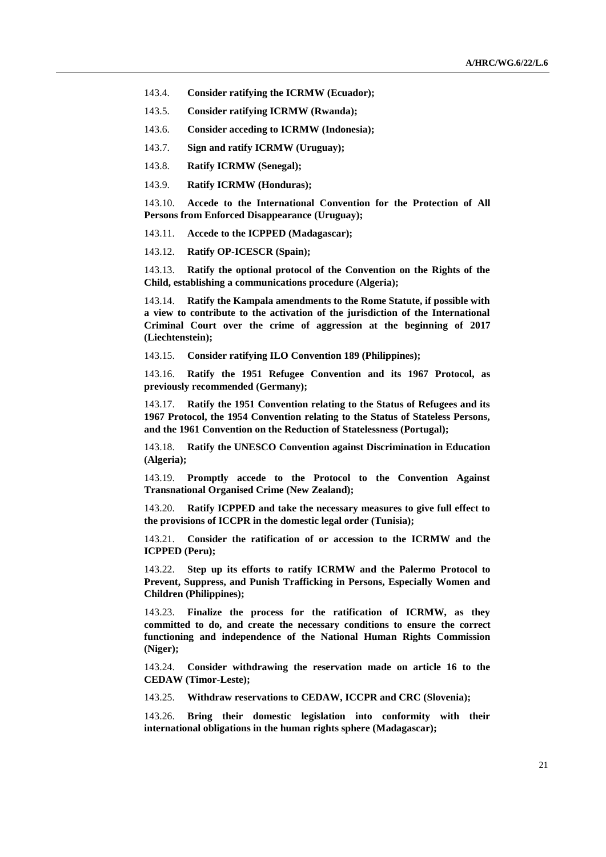- 143.4. **Consider ratifying the ICRMW (Ecuador);**
- 143.5. **Consider ratifying ICRMW (Rwanda);**
- 143.6. **Consider acceding to ICRMW (Indonesia);**
- 143.7. **Sign and ratify ICRMW (Uruguay);**
- 143.8. **Ratify ICRMW (Senegal);**
- 143.9. **Ratify ICRMW (Honduras);**

143.10. **Accede to the International Convention for the Protection of All Persons from Enforced Disappearance (Uruguay);**

143.11. **Accede to the ICPPED (Madagascar);**

143.12. **Ratify OP-ICESCR (Spain);**

143.13. **Ratify the optional protocol of the Convention on the Rights of the Child, establishing a communications procedure (Algeria);**

143.14. **Ratify the Kampala amendments to the Rome Statute, if possible with a view to contribute to the activation of the jurisdiction of the International Criminal Court over the crime of aggression at the beginning of 2017 (Liechtenstein);**

143.15. **Consider ratifying ILO Convention 189 (Philippines);**

143.16. **Ratify the 1951 Refugee Convention and its 1967 Protocol, as previously recommended (Germany);**

143.17. **Ratify the 1951 Convention relating to the Status of Refugees and its 1967 Protocol, the 1954 Convention relating to the Status of Stateless Persons, and the 1961 Convention on the Reduction of Statelessness (Portugal);**

143.18. **Ratify the UNESCO Convention against Discrimination in Education (Algeria);**

143.19. **Promptly accede to the Protocol to the Convention Against Transnational Organised Crime (New Zealand);**

143.20. **Ratify ICPPED and take the necessary measures to give full effect to the provisions of ICCPR in the domestic legal order (Tunisia);**

143.21. **Consider the ratification of or accession to the ICRMW and the ICPPED (Peru);**

143.22. **Step up its efforts to ratify ICRMW and the Palermo Protocol to Prevent, Suppress, and Punish Trafficking in Persons, Especially Women and Children (Philippines);**

143.23. **Finalize the process for the ratification of ICRMW, as they committed to do, and create the necessary conditions to ensure the correct functioning and independence of the National Human Rights Commission (Niger);**

143.24. **Consider withdrawing the reservation made on article 16 to the CEDAW (Timor-Leste);**

143.25. **Withdraw reservations to CEDAW, ICCPR and CRC (Slovenia);**

143.26. **Bring their domestic legislation into conformity with their international obligations in the human rights sphere (Madagascar);**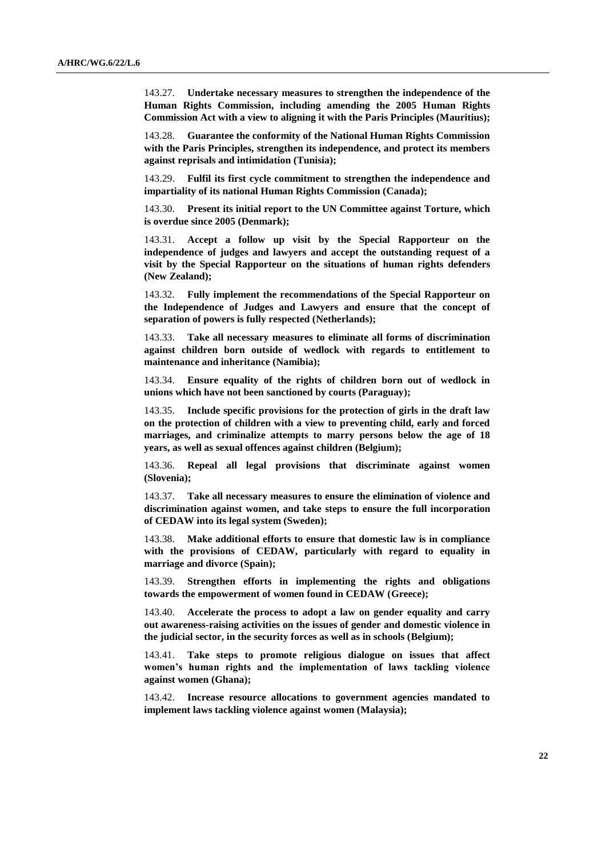143.27. **Undertake necessary measures to strengthen the independence of the Human Rights Commission, including amending the 2005 Human Rights Commission Act with a view to aligning it with the Paris Principles (Mauritius);**

143.28. **Guarantee the conformity of the National Human Rights Commission with the Paris Principles, strengthen its independence, and protect its members against reprisals and intimidation (Tunisia);**

143.29. **Fulfil its first cycle commitment to strengthen the independence and impartiality of its national Human Rights Commission (Canada);**

143.30. **Present its initial report to the UN Committee against Torture, which is overdue since 2005 (Denmark);**

143.31. **Accept a follow up visit by the Special Rapporteur on the independence of judges and lawyers and accept the outstanding request of a visit by the Special Rapporteur on the situations of human rights defenders (New Zealand);**

143.32. **Fully implement the recommendations of the Special Rapporteur on the Independence of Judges and Lawyers and ensure that the concept of separation of powers is fully respected (Netherlands);**

143.33. **Take all necessary measures to eliminate all forms of discrimination against children born outside of wedlock with regards to entitlement to maintenance and inheritance (Namibia);**

143.34. **Ensure equality of the rights of children born out of wedlock in unions which have not been sanctioned by courts (Paraguay);**

143.35. **Include specific provisions for the protection of girls in the draft law on the protection of children with a view to preventing child, early and forced marriages, and criminalize attempts to marry persons below the age of 18 years, as well as sexual offences against children (Belgium);**

143.36. **Repeal all legal provisions that discriminate against women (Slovenia);**

143.37. **Take all necessary measures to ensure the elimination of violence and discrimination against women, and take steps to ensure the full incorporation of CEDAW into its legal system (Sweden);**

143.38. **Make additional efforts to ensure that domestic law is in compliance with the provisions of CEDAW, particularly with regard to equality in marriage and divorce (Spain);**

143.39. **Strengthen efforts in implementing the rights and obligations towards the empowerment of women found in CEDAW (Greece);**

143.40. **Accelerate the process to adopt a law on gender equality and carry out awareness-raising activities on the issues of gender and domestic violence in the judicial sector, in the security forces as well as in schools (Belgium);**

143.41. **Take steps to promote religious dialogue on issues that affect women's human rights and the implementation of laws tackling violence against women (Ghana);**

143.42. **Increase resource allocations to government agencies mandated to implement laws tackling violence against women (Malaysia);**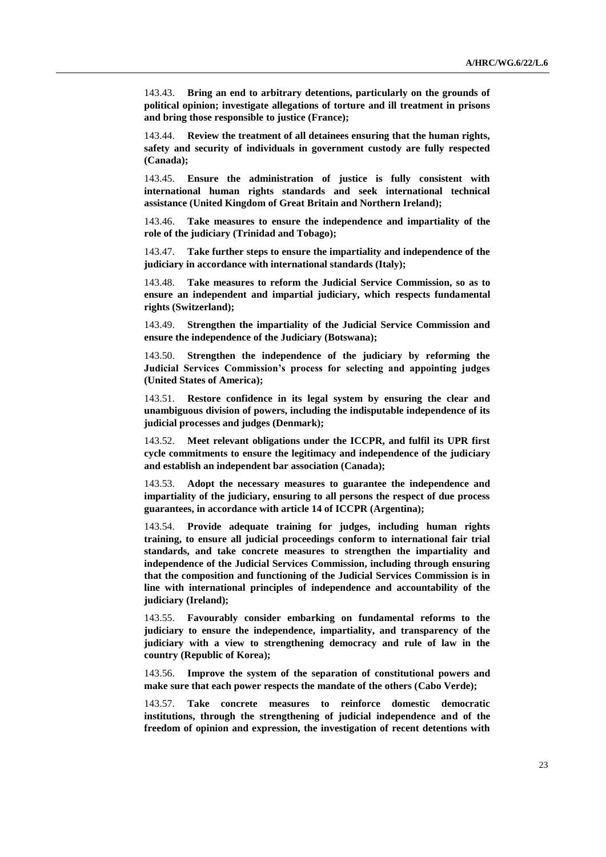143.43. **Bring an end to arbitrary detentions, particularly on the grounds of political opinion; investigate allegations of torture and ill treatment in prisons and bring those responsible to justice (France);**

143.44. **Review the treatment of all detainees ensuring that the human rights, safety and security of individuals in government custody are fully respected (Canada);**

143.45. **Ensure the administration of justice is fully consistent with international human rights standards and seek international technical assistance (United Kingdom of Great Britain and Northern Ireland);**

143.46. **Take measures to ensure the independence and impartiality of the role of the judiciary (Trinidad and Tobago);**

143.47. **Take further steps to ensure the impartiality and independence of the judiciary in accordance with international standards (Italy);**

143.48. **Take measures to reform the Judicial Service Commission, so as to ensure an independent and impartial judiciary, which respects fundamental rights (Switzerland);**

143.49. **Strengthen the impartiality of the Judicial Service Commission and ensure the independence of the Judiciary (Botswana);**

143.50. **Strengthen the independence of the judiciary by reforming the Judicial Services Commission's process for selecting and appointing judges (United States of America);**

143.51. **Restore confidence in its legal system by ensuring the clear and unambiguous division of powers, including the indisputable independence of its judicial processes and judges (Denmark);**

143.52. **Meet relevant obligations under the ICCPR, and fulfil its UPR first cycle commitments to ensure the legitimacy and independence of the judiciary and establish an independent bar association (Canada);**

143.53. **Adopt the necessary measures to guarantee the independence and impartiality of the judiciary, ensuring to all persons the respect of due process guarantees, in accordance with article 14 of ICCPR (Argentina);**

143.54. **Provide adequate training for judges, including human rights training, to ensure all judicial proceedings conform to international fair trial standards, and take concrete measures to strengthen the impartiality and independence of the Judicial Services Commission, including through ensuring that the composition and functioning of the Judicial Services Commission is in line with international principles of independence and accountability of the judiciary (Ireland);**

143.55. **Favourably consider embarking on fundamental reforms to the judiciary to ensure the independence, impartiality, and transparency of the judiciary with a view to strengthening democracy and rule of law in the country (Republic of Korea);**

143.56. **Improve the system of the separation of constitutional powers and make sure that each power respects the mandate of the others (Cabo Verde);**

143.57. **Take concrete measures to reinforce domestic democratic institutions, through the strengthening of judicial independence and of the freedom of opinion and expression, the investigation of recent detentions with**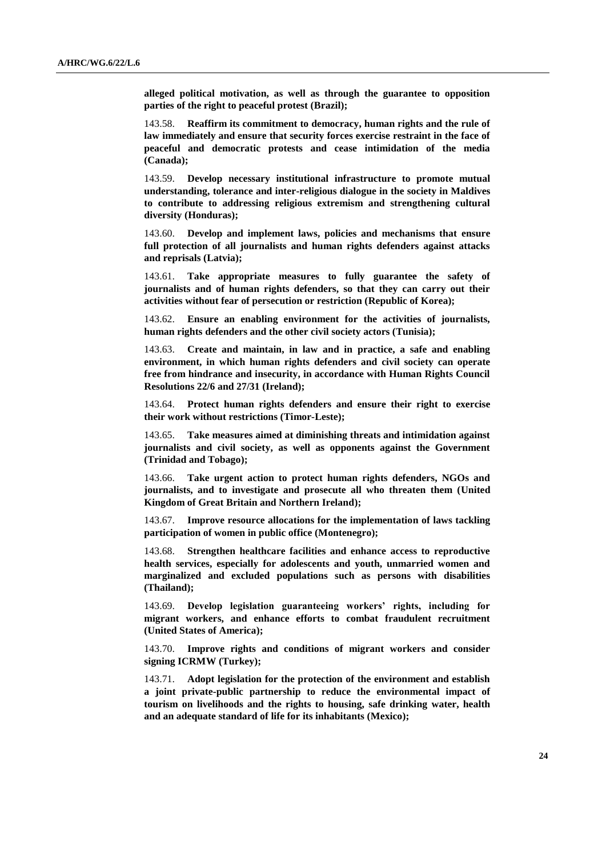**alleged political motivation, as well as through the guarantee to opposition parties of the right to peaceful protest (Brazil);**

143.58. **Reaffirm its commitment to democracy, human rights and the rule of law immediately and ensure that security forces exercise restraint in the face of peaceful and democratic protests and cease intimidation of the media (Canada);**

143.59. **Develop necessary institutional infrastructure to promote mutual understanding, tolerance and inter-religious dialogue in the society in Maldives to contribute to addressing religious extremism and strengthening cultural diversity (Honduras);**

143.60. **Develop and implement laws, policies and mechanisms that ensure full protection of all journalists and human rights defenders against attacks and reprisals (Latvia);**

143.61. **Take appropriate measures to fully guarantee the safety of journalists and of human rights defenders, so that they can carry out their activities without fear of persecution or restriction (Republic of Korea);**

143.62. **Ensure an enabling environment for the activities of journalists, human rights defenders and the other civil society actors (Tunisia);**

143.63. **Create and maintain, in law and in practice, a safe and enabling environment, in which human rights defenders and civil society can operate free from hindrance and insecurity, in accordance with Human Rights Council Resolutions 22/6 and 27/31 (Ireland);**

143.64. **Protect human rights defenders and ensure their right to exercise their work without restrictions (Timor-Leste);**

143.65. **Take measures aimed at diminishing threats and intimidation against journalists and civil society, as well as opponents against the Government (Trinidad and Tobago);**

143.66. **Take urgent action to protect human rights defenders, NGOs and journalists, and to investigate and prosecute all who threaten them (United Kingdom of Great Britain and Northern Ireland);**

143.67. **Improve resource allocations for the implementation of laws tackling participation of women in public office (Montenegro);**

143.68. **Strengthen healthcare facilities and enhance access to reproductive health services, especially for adolescents and youth, unmarried women and marginalized and excluded populations such as persons with disabilities (Thailand);**

143.69. **Develop legislation guaranteeing workers' rights, including for migrant workers, and enhance efforts to combat fraudulent recruitment (United States of America);**

143.70. **Improve rights and conditions of migrant workers and consider signing ICRMW (Turkey);**

143.71. **Adopt legislation for the protection of the environment and establish a joint private-public partnership to reduce the environmental impact of tourism on livelihoods and the rights to housing, safe drinking water, health and an adequate standard of life for its inhabitants (Mexico);**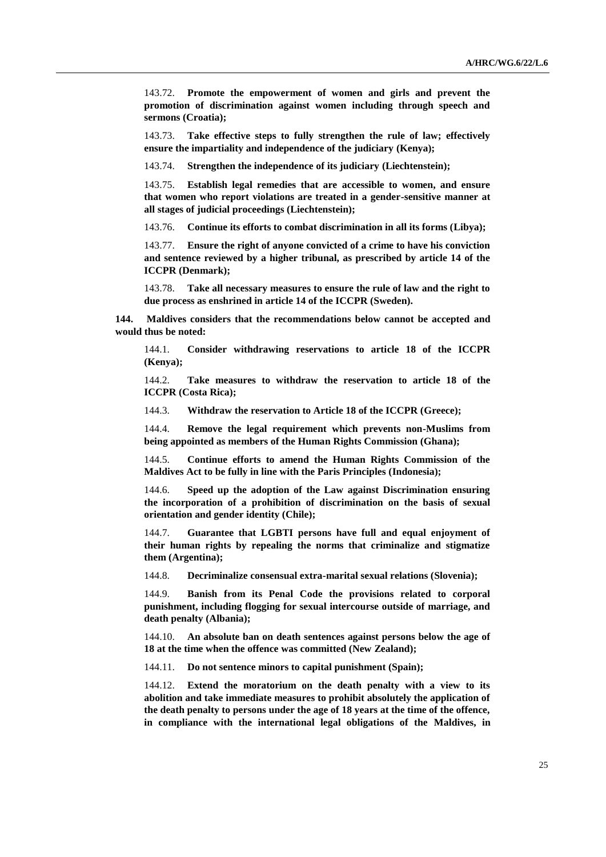143.72. **Promote the empowerment of women and girls and prevent the promotion of discrimination against women including through speech and sermons (Croatia);**

143.73. **Take effective steps to fully strengthen the rule of law; effectively ensure the impartiality and independence of the judiciary (Kenya);** 

143.74. **Strengthen the independence of its judiciary (Liechtenstein);**

143.75. **Establish legal remedies that are accessible to women, and ensure that women who report violations are treated in a gender-sensitive manner at all stages of judicial proceedings (Liechtenstein);**

143.76. **Continue its efforts to combat discrimination in all its forms (Libya);**

143.77. **Ensure the right of anyone convicted of a crime to have his conviction and sentence reviewed by a higher tribunal, as prescribed by article 14 of the ICCPR (Denmark);**

143.78. **Take all necessary measures to ensure the rule of law and the right to due process as enshrined in article 14 of the ICCPR (Sweden).**

**144. Maldives considers that the recommendations below cannot be accepted and would thus be noted:**

144.1. **Consider withdrawing reservations to article 18 of the ICCPR (Kenya);**

144.2. **Take measures to withdraw the reservation to article 18 of the ICCPR (Costa Rica);**

144.3. **Withdraw the reservation to Article 18 of the ICCPR (Greece);**

144.4. **Remove the legal requirement which prevents non-Muslims from being appointed as members of the Human Rights Commission (Ghana);**

144.5. **Continue efforts to amend the Human Rights Commission of the Maldives Act to be fully in line with the Paris Principles (Indonesia);**

144.6. **Speed up the adoption of the Law against Discrimination ensuring the incorporation of a prohibition of discrimination on the basis of sexual orientation and gender identity (Chile);**

144.7. **Guarantee that LGBTI persons have full and equal enjoyment of their human rights by repealing the norms that criminalize and stigmatize them (Argentina);**

144.8. **Decriminalize consensual extra-marital sexual relations (Slovenia);**

144.9. **Banish from its Penal Code the provisions related to corporal punishment, including flogging for sexual intercourse outside of marriage, and death penalty (Albania);**

144.10. **An absolute ban on death sentences against persons below the age of 18 at the time when the offence was committed (New Zealand);**

144.11. **Do not sentence minors to capital punishment (Spain);**

144.12. **Extend the moratorium on the death penalty with a view to its abolition and take immediate measures to prohibit absolutely the application of the death penalty to persons under the age of 18 years at the time of the offence, in compliance with the international legal obligations of the Maldives, in**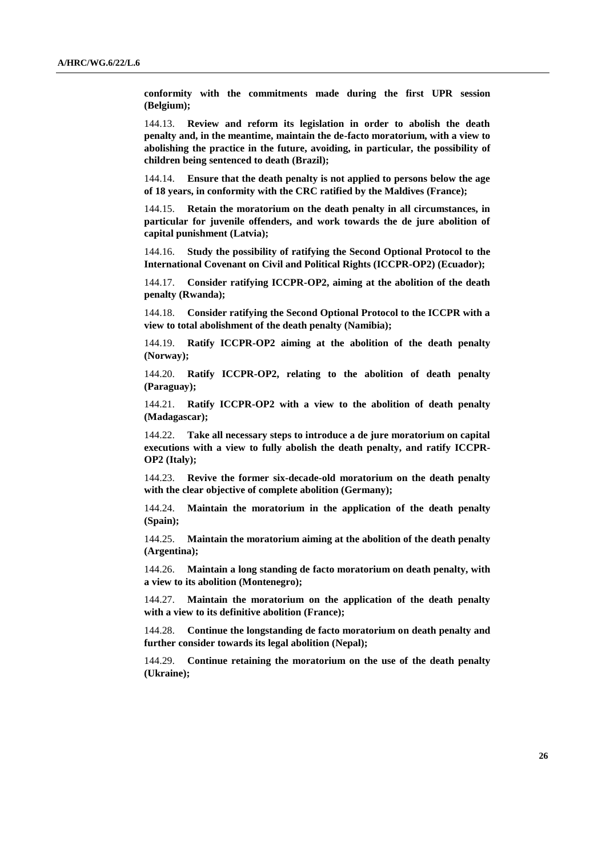**conformity with the commitments made during the first UPR session (Belgium);**

144.13. **Review and reform its legislation in order to abolish the death penalty and, in the meantime, maintain the de-facto moratorium, with a view to abolishing the practice in the future, avoiding, in particular, the possibility of children being sentenced to death (Brazil);**

144.14. **Ensure that the death penalty is not applied to persons below the age of 18 years, in conformity with the CRC ratified by the Maldives (France);**

144.15. **Retain the moratorium on the death penalty in all circumstances, in particular for juvenile offenders, and work towards the de jure abolition of capital punishment (Latvia);**

144.16. **Study the possibility of ratifying the Second Optional Protocol to the International Covenant on Civil and Political Rights (ICCPR-OP2) (Ecuador);**

144.17. **Consider ratifying ICCPR-OP2, aiming at the abolition of the death penalty (Rwanda);**

144.18. **Consider ratifying the Second Optional Protocol to the ICCPR with a view to total abolishment of the death penalty (Namibia);**

144.19. **Ratify ICCPR-OP2 aiming at the abolition of the death penalty (Norway);**

144.20. **Ratify ICCPR-OP2, relating to the abolition of death penalty (Paraguay);**

144.21. **Ratify ICCPR-OP2 with a view to the abolition of death penalty (Madagascar);**

144.22. **Take all necessary steps to introduce a de jure moratorium on capital executions with a view to fully abolish the death penalty, and ratify ICCPR-OP2 (Italy);**

144.23. **Revive the former six-decade-old moratorium on the death penalty with the clear objective of complete abolition (Germany);**

144.24. **Maintain the moratorium in the application of the death penalty (Spain);**

144.25. **Maintain the moratorium aiming at the abolition of the death penalty (Argentina);**

144.26. **Maintain a long standing de facto moratorium on death penalty, with a view to its abolition (Montenegro);**

144.27. **Maintain the moratorium on the application of the death penalty with a view to its definitive abolition (France);**

144.28. **Continue the longstanding de facto moratorium on death penalty and further consider towards its legal abolition (Nepal);**

144.29. **Continue retaining the moratorium on the use of the death penalty (Ukraine);**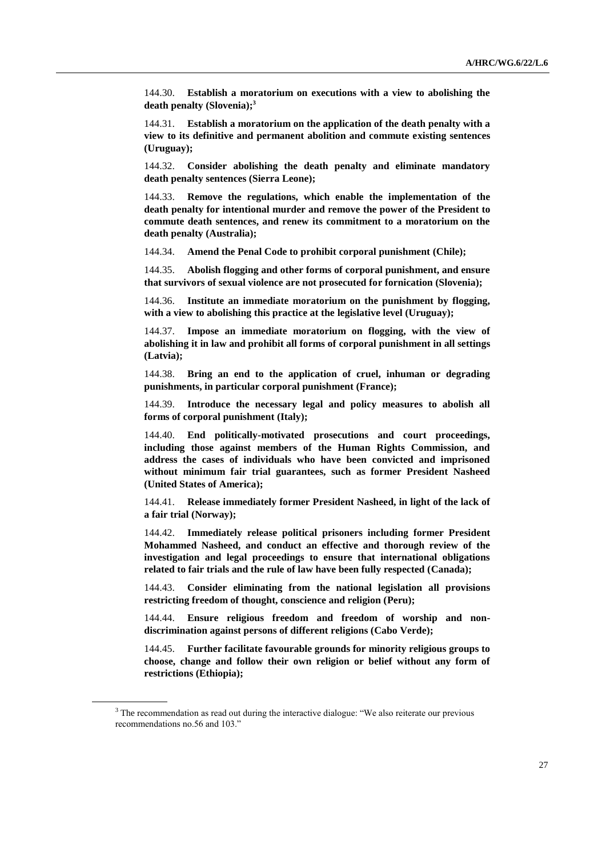144.30. **Establish a moratorium on executions with a view to abolishing the death penalty (Slovenia);<sup>3</sup>**

144.31. **Establish a moratorium on the application of the death penalty with a view to its definitive and permanent abolition and commute existing sentences (Uruguay);**

144.32. **Consider abolishing the death penalty and eliminate mandatory death penalty sentences (Sierra Leone);**

144.33. **Remove the regulations, which enable the implementation of the death penalty for intentional murder and remove the power of the President to commute death sentences, and renew its commitment to a moratorium on the death penalty (Australia);**

144.34. **Amend the Penal Code to prohibit corporal punishment (Chile);**

144.35. **Abolish flogging and other forms of corporal punishment, and ensure that survivors of sexual violence are not prosecuted for fornication (Slovenia);**

144.36. **Institute an immediate moratorium on the punishment by flogging, with a view to abolishing this practice at the legislative level (Uruguay);**

Impose an immediate moratorium on flogging, with the view of **abolishing it in law and prohibit all forms of corporal punishment in all settings (Latvia);**

144.38. **Bring an end to the application of cruel, inhuman or degrading punishments, in particular corporal punishment (France);**

144.39. **Introduce the necessary legal and policy measures to abolish all forms of corporal punishment (Italy);**

144.40. **End politically-motivated prosecutions and court proceedings, including those against members of the Human Rights Commission, and address the cases of individuals who have been convicted and imprisoned without minimum fair trial guarantees, such as former President Nasheed (United States of America);**

144.41. **Release immediately former President Nasheed, in light of the lack of a fair trial (Norway);**

144.42. **Immediately release political prisoners including former President Mohammed Nasheed, and conduct an effective and thorough review of the investigation and legal proceedings to ensure that international obligations related to fair trials and the rule of law have been fully respected (Canada);**

144.43. **Consider eliminating from the national legislation all provisions restricting freedom of thought, conscience and religion (Peru);**

144.44. **Ensure religious freedom and freedom of worship and nondiscrimination against persons of different religions (Cabo Verde);**

144.45. **Further facilitate favourable grounds for minority religious groups to choose, change and follow their own religion or belief without any form of restrictions (Ethiopia);**

<sup>&</sup>lt;sup>3</sup> The recommendation as read out during the interactive dialogue: "We also reiterate our previous recommendations no.56 and 103."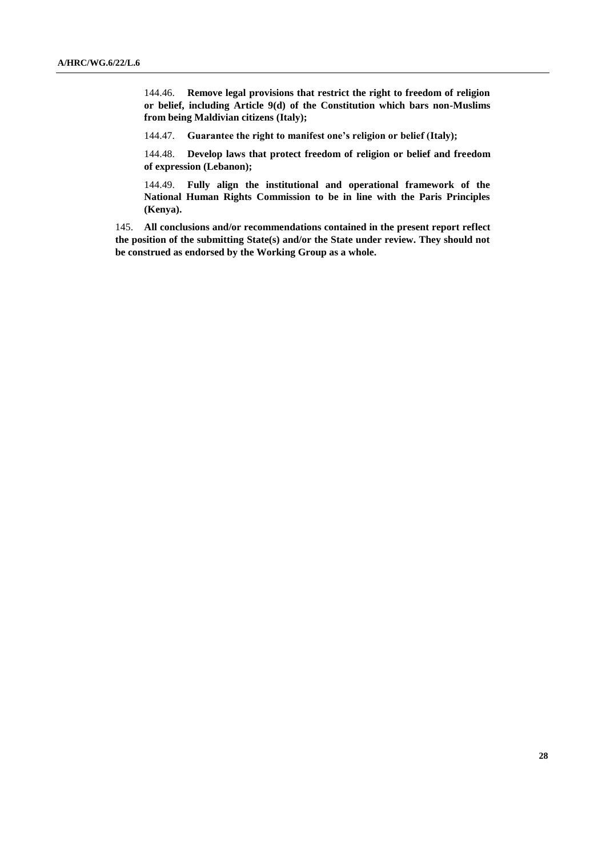144.46. **Remove legal provisions that restrict the right to freedom of religion or belief, including Article 9(d) of the Constitution which bars non-Muslims from being Maldivian citizens (Italy);**

144.47. **Guarantee the right to manifest one's religion or belief (Italy);**

144.48. **Develop laws that protect freedom of religion or belief and freedom of expression (Lebanon);**

144.49. **Fully align the institutional and operational framework of the National Human Rights Commission to be in line with the Paris Principles (Kenya).**

145. **All conclusions and/or recommendations contained in the present report reflect the position of the submitting State(s) and/or the State under review. They should not be construed as endorsed by the Working Group as a whole.**